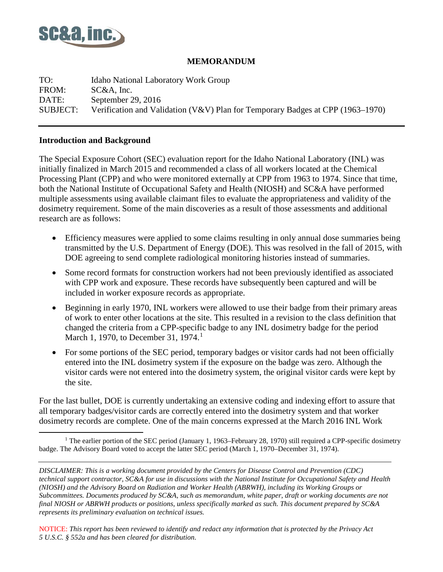

### **MEMORANDUM**

TO: Idaho National Laboratory Work Group FROM: SC&A, Inc. DATE: September 29, 2016 SUBJECT: Verification and Validation (V&V) Plan for Temporary Badges at CPP (1963–1970)

#### **Introduction and Background**

The Special Exposure Cohort (SEC) evaluation report for the Idaho National Laboratory (INL) was initially finalized in March 2015 and recommended a class of all workers located at the Chemical Processing Plant (CPP) and who were monitored externally at CPP from 1963 to 1974. Since that time, both the National Institute of Occupational Safety and Health (NIOSH) and SC&A have performed multiple assessments using available claimant files to evaluate the appropriateness and validity of the dosimetry requirement. Some of the main discoveries as a result of those assessments and additional research are as follows:

- Efficiency measures were applied to some claims resulting in only annual dose summaries being transmitted by the U.S. Department of Energy (DOE). This was resolved in the fall of 2015, with DOE agreeing to send complete radiological monitoring histories instead of summaries.
- Some record formats for construction workers had not been previously identified as associated with CPP work and exposure. These records have subsequently been captured and will be included in worker exposure records as appropriate.
- Beginning in early 1970, INL workers were allowed to use their badge from their primary areas of work to enter other locations at the site. This resulted in a revision to the class definition that changed the criteria from a CPP-specific badge to any INL dosimetry badge for the period March [1](#page-0-0), 1970, to December 31, 1974.<sup>1</sup>
- For some portions of the SEC period, temporary badges or visitor cards had not been officially entered into the INL dosimetry system if the exposure on the badge was zero. Although the visitor cards were not entered into the dosimetry system, the original visitor cards were kept by the site.

For the last bullet, DOE is currently undertaking an extensive coding and indexing effort to assure that all temporary badges/visitor cards are correctly entered into the dosimetry system and that worker dosimetry records are complete. One of the main concerns expressed at the March 2016 INL Work

*DISCLAIMER: This is a working document provided by the Centers for Disease Control and Prevention (CDC) technical support contractor, SC&A for use in discussions with the National Institute for Occupational Safety and Health (NIOSH) and the Advisory Board on Radiation and Worker Health (ABRWH), including its Working Groups or Subcommittees. Documents produced by SC&A, such as memorandum, white paper, draft or working documents are not final NIOSH or ABRWH products or positions, unless specifically marked as such. This document prepared by SC&A represents its preliminary evaluation on technical issues.*

<span id="page-0-0"></span><sup>&</sup>lt;sup>1</sup> The earlier portion of the SEC period (January 1, 1963–February 28, 1970) still required a CPP-specific dosimetry badge. The Advisory Board voted to accept the latter SEC period (March 1, 1970–December 31, 1974).  $\overline{a}$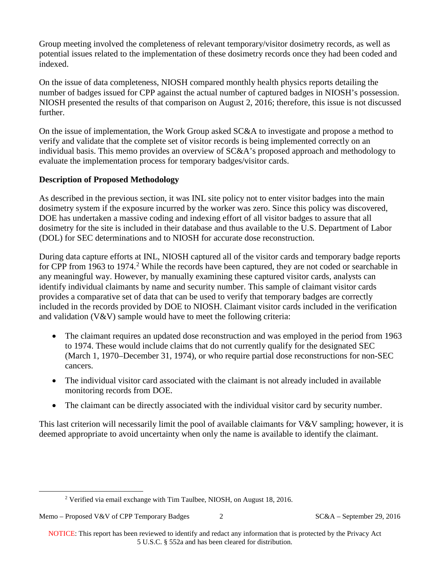Group meeting involved the completeness of relevant temporary/visitor dosimetry records, as well as potential issues related to the implementation of these dosimetry records once they had been coded and indexed.

On the issue of data completeness, NIOSH compared monthly health physics reports detailing the number of badges issued for CPP against the actual number of captured badges in NIOSH's possession. NIOSH presented the results of that comparison on August 2, 2016; therefore, this issue is not discussed further.

On the issue of implementation, the Work Group asked SC&A to investigate and propose a method to verify and validate that the complete set of visitor records is being implemented correctly on an individual basis. This memo provides an overview of SC&A's proposed approach and methodology to evaluate the implementation process for temporary badges/visitor cards.

### **Description of Proposed Methodology**

As described in the previous section, it was INL site policy not to enter visitor badges into the main dosimetry system if the exposure incurred by the worker was zero. Since this policy was discovered, DOE has undertaken a massive coding and indexing effort of all visitor badges to assure that all dosimetry for the site is included in their database and thus available to the U.S. Department of Labor (DOL) for SEC determinations and to NIOSH for accurate dose reconstruction.

During data capture efforts at INL, NIOSH captured all of the visitor cards and temporary badge reports for CPP from 1963 to 1974.<sup>[2](#page-1-0)</sup> While the records have been captured, they are not coded or searchable in any meaningful way. However, by manually examining these captured visitor cards, analysts can identify individual claimants by name and security number. This sample of claimant visitor cards provides a comparative set of data that can be used to verify that temporary badges are correctly included in the records provided by DOE to NIOSH. Claimant visitor cards included in the verification and validation  $(V&V)$  sample would have to meet the following criteria:

- The claimant requires an updated dose reconstruction and was employed in the period from 1963 to 1974. These would include claims that do not currently qualify for the designated SEC (March 1, 1970–December 31, 1974), or who require partial dose reconstructions for non-SEC cancers.
- The individual visitor card associated with the claimant is not already included in available monitoring records from DOE.
- The claimant can be directly associated with the individual visitor card by security number.

This last criterion will necessarily limit the pool of available claimants for V&V sampling; however, it is deemed appropriate to avoid uncertainty when only the name is available to identify the claimant.

<span id="page-1-0"></span> $\overline{a}$ 

<sup>2</sup> Verified via email exchange with Tim Taulbee, NIOSH, on August 18, 2016.

Memo – Proposed V&V of CPP Temporary Badges 2 SC&A – September 29, 2016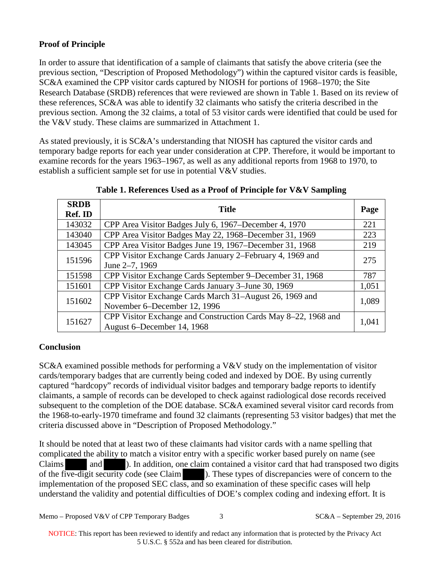# **Proof of Principle**

In order to assure that identification of a sample of claimants that satisfy the above criteria (see the previous section, "Description of Proposed Methodology") within the captured visitor cards is feasible, SC&A examined the CPP visitor cards captured by NIOSH for portions of 1968–1970; the Site Research Database (SRDB) references that were reviewed are shown in Table 1. Based on its review of these references, SC&A was able to identify 32 claimants who satisfy the criteria described in the previous section. Among the 32 claims, a total of 53 visitor cards were identified that could be used for the V&V study. These claims are summarized in Attachment 1.

As stated previously, it is SC&A's understanding that NIOSH has captured the visitor cards and temporary badge reports for each year under consideration at CPP. Therefore, it would be important to examine records for the years 1963–1967, as well as any additional reports from 1968 to 1970, to establish a sufficient sample set for use in potential V&V studies.

| <b>SRDB</b><br>Ref. ID | <b>Title</b><br>Page                                                                             |       |  |  |  |  |  |
|------------------------|--------------------------------------------------------------------------------------------------|-------|--|--|--|--|--|
| 143032                 | CPP Area Visitor Badges July 6, 1967–December 4, 1970                                            | 221   |  |  |  |  |  |
| 143040                 | CPP Area Visitor Badges May 22, 1968–December 31, 1969                                           | 223   |  |  |  |  |  |
| 143045                 | CPP Area Visitor Badges June 19, 1967–December 31, 1968                                          |       |  |  |  |  |  |
| 151596                 | CPP Visitor Exchange Cards January 2–February 4, 1969 and<br>275<br>June 2-7, 1969               |       |  |  |  |  |  |
| 151598                 | CPP Visitor Exchange Cards September 9–December 31, 1968                                         |       |  |  |  |  |  |
| 151601                 | CPP Visitor Exchange Cards January 3–June 30, 1969<br>1,051                                      |       |  |  |  |  |  |
| 151602                 | CPP Visitor Exchange Cards March 31-August 26, 1969 and<br>1,089<br>November 6–December 12, 1996 |       |  |  |  |  |  |
| 151627                 | CPP Visitor Exchange and Construction Cards May 8–22, 1968 and<br>August 6–December 14, 1968     | 1,041 |  |  |  |  |  |

**Table 1. References Used as a Proof of Principle for V&V Sampling**

# **Conclusion**

SC&A examined possible methods for performing a V&V study on the implementation of visitor cards/temporary badges that are currently being coded and indexed by DOE. By using currently captured "hardcopy" records of individual visitor badges and temporary badge reports to identify claimants, a sample of records can be developed to check against radiological dose records received subsequent to the completion of the DOE database. SC&A examined several visitor card records from the 1968-to-early-1970 timeframe and found 32 claimants (representing 53 visitor badges) that met the criteria discussed above in "Description of Proposed Methodology."

It should be noted that at least two of these claimants had visitor cards with a name spelling that complicated the ability to match a visitor entry with a specific worker based purely on name (see Claims and ). In addition, one claim contained a visitor card that had transposed two digits of the five-digit security code (see Claim ). These types of discrepancies were of concern to the implementation of the proposed SEC class, and so examination of these specific cases will help understand the validity and potential difficulties of DOE's complex coding and indexing effort. It is

| Memo – Proposed V&V of CPP Temporary Badges | $SC&A - September 29, 2016$ |
|---------------------------------------------|-----------------------------|
|                                             |                             |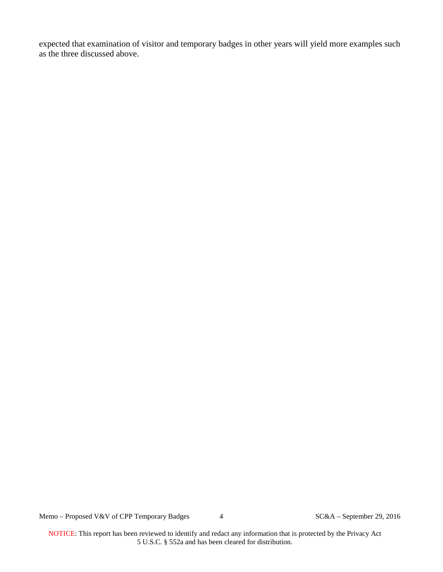expected that examination of visitor and temporary badges in other years will yield more examples such as the three discussed above.

Memo – Proposed V&V of CPP Temporary Badges 4 SC&A – September 29, 2016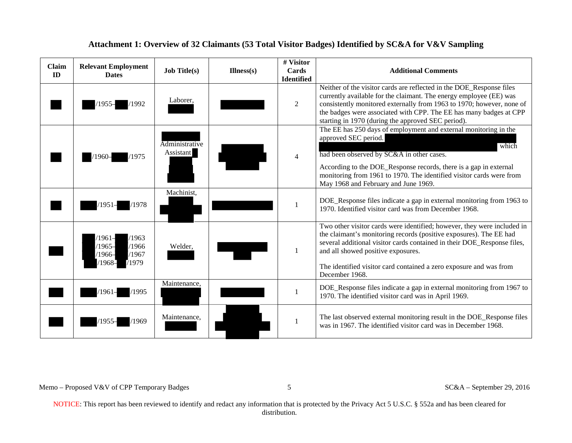| Claim<br>ID | <b>Relevant Employment</b><br><b>Dates</b>                                 | <b>Job Title(s)</b>         | $Illness(s)$ | # Visitor<br>Cards     | <b>Additional Comments</b>                                                                                                                                                                                                                                                                                                                             |
|-------------|----------------------------------------------------------------------------|-----------------------------|--------------|------------------------|--------------------------------------------------------------------------------------------------------------------------------------------------------------------------------------------------------------------------------------------------------------------------------------------------------------------------------------------------------|
|             | /1992<br>1955–                                                             | Laborer,                    |              | <b>Identified</b><br>2 | Neither of the visitor cards are reflected in the DOE_Response files<br>currently available for the claimant. The energy employee (EE) was<br>consistently monitored externally from 1963 to 1970; however, none of<br>the badges were associated with CPP. The EE has many badges at CPP<br>starting in 1970 (during the approved SEC period).        |
|             | /1975<br>1960–                                                             | Administrative<br>Assistant |              | $\overline{4}$         | The EE has 250 days of employment and external monitoring in the<br>approved SEC period.<br>which<br>had been observed by SC&A in other cases.<br>According to the DOE_Response records, there is a gap in external<br>monitoring from 1961 to 1970. The identified visitor cards were from<br>May 1968 and February and June 1969.                    |
|             | /1978<br>1951                                                              | Machinist,                  |              |                        | DOE_Response files indicate a gap in external monitoring from 1963 to<br>1970. Identified visitor card was from December 1968.                                                                                                                                                                                                                         |
|             | /1963<br>/1961–<br>$/1965-$<br>/1966<br>/1967<br>/1966–<br>71979<br>/1968– | Welder,                     |              |                        | Two other visitor cards were identified; however, they were included in<br>the claimant's monitoring records (positive exposures). The EE had<br>several additional visitor cards contained in their DOE_Response files,<br>and all showed positive exposures.<br>The identified visitor card contained a zero exposure and was from<br>December 1968. |
|             | /1995<br>/1961–                                                            | Maintenance,                |              |                        | DOE_Response files indicate a gap in external monitoring from 1967 to<br>1970. The identified visitor card was in April 1969.                                                                                                                                                                                                                          |
|             | /1969<br>1955.                                                             | Maintenance,                |              |                        | The last observed external monitoring result in the DOE_Response files<br>was in 1967. The identified visitor card was in December 1968.                                                                                                                                                                                                               |

#### **Attachment 1: Overview of 32 Claimants (53 Total Visitor Badges) Identified by SC&A for V&V Sampling**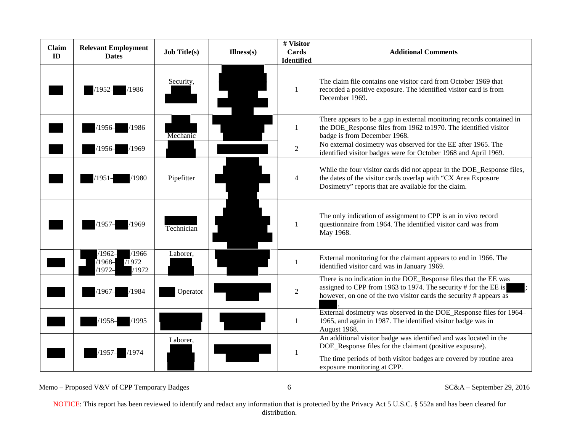| Claim<br>ID | <b>Relevant Employment</b><br><b>Dates</b>                 | <b>Job Title(s)</b> | $Illness(s)$ | # Visitor<br>Cards<br><b>Identified</b> | <b>Additional Comments</b>                                                                                                                                                                                                          |
|-------------|------------------------------------------------------------|---------------------|--------------|-----------------------------------------|-------------------------------------------------------------------------------------------------------------------------------------------------------------------------------------------------------------------------------------|
|             | /1986<br>1952–                                             | Security,           |              | 1                                       | The claim file contains one visitor card from October 1969 that<br>recorded a positive exposure. The identified visitor card is from<br>December 1969.                                                                              |
|             | /1986<br>1956–                                             | Mechanic            |              | 1                                       | There appears to be a gap in external monitoring records contained in<br>the DOE_Response files from 1962 to1970. The identified visitor<br>badge is from December 1968.                                                            |
|             | /1969<br>′1956–                                            |                     |              | 2                                       | No external dosimetry was observed for the EE after 1965. The<br>identified visitor badges were for October 1968 and April 1969.                                                                                                    |
|             | /1980<br>/1951–                                            | Pipefitter          |              | $\overline{4}$                          | While the four visitor cards did not appear in the DOE_Response files,<br>the dates of the visitor cards overlap with "CX Area Exposure<br>Dosimetry" reports that are available for the claim.                                     |
|             | /1969<br>1957-                                             | Technician          |              |                                         | The only indication of assignment to CPP is an in vivo record<br>questionnaire from 1964. The identified visitor card was from<br>May 1968.                                                                                         |
|             | /1966<br>$1962-$<br>/1972<br>$1968 -$<br>/1972<br>$1972 -$ | Laborer,            |              | 1                                       | External monitoring for the claimant appears to end in 1966. The<br>identified visitor card was in January 1969.                                                                                                                    |
|             | /1984<br>1967                                              | Operator            |              | $\overline{2}$                          | There is no indication in the DOE_Response files that the EE was<br>assigned to CPP from 1963 to 1974. The security # for the EE is<br>however, on one of the two visitor cards the security # appears as                           |
|             | $/1958-$<br>/1995                                          |                     |              | 1                                       | External dosimetry was observed in the DOE_Response files for 1964-<br>1965, and again in 1987. The identified visitor badge was in<br>August 1968.                                                                                 |
|             | /1974<br>1957-                                             | Laborer,            |              | -1                                      | An additional visitor badge was identified and was located in the<br>DOE_Response files for the claimant (positive exposure).<br>The time periods of both visitor badges are covered by routine area<br>exposure monitoring at CPP. |

Memo – Proposed V&V of CPP Temporary Badges 6 6 SC&A – September 29, 2016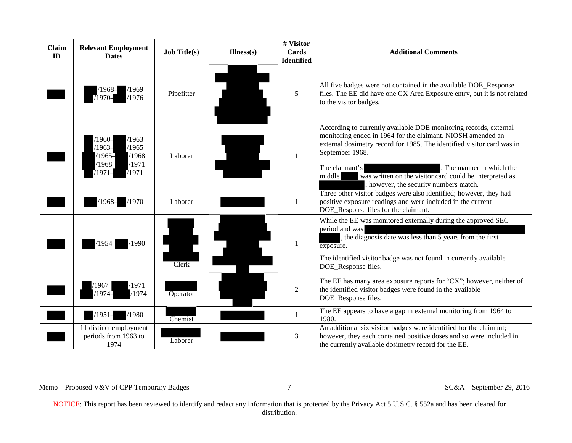| Claim<br>ID | <b>Relevant Employment</b><br><b>Dates</b>                                                       | <b>Job Title(s)</b> | $Illness(s)$ | # Visitor<br>Cards<br><b>Identified</b> | <b>Additional Comments</b>                                                                                                                                                                                                                                                                                                                                                                |
|-------------|--------------------------------------------------------------------------------------------------|---------------------|--------------|-----------------------------------------|-------------------------------------------------------------------------------------------------------------------------------------------------------------------------------------------------------------------------------------------------------------------------------------------------------------------------------------------------------------------------------------------|
|             | /1969<br>1968–<br>/1976<br>/1970–                                                                | Pipefitter          |              | 5                                       | All five badges were not contained in the available DOE_Response<br>files. The EE did have one CX Area Exposure entry, but it is not related<br>to the visitor badges.                                                                                                                                                                                                                    |
|             | $1960-$<br>/1963<br>$/1963-$<br>/1965<br>/1968<br>$/1965-$<br>/1971<br>$1968-$<br>/1971<br>1971– | Laborer             |              | -1                                      | According to currently available DOE monitoring records, external<br>monitoring ended in 1964 for the claimant. NIOSH amended an<br>external dosimetry record for 1985. The identified visitor card was in<br>September 1968.<br>The claimant's<br>The manner in which the<br>middle<br>was written on the visitor card could be interpreted as<br>; however, the security numbers match. |
|             | $/1968-$<br>/1970                                                                                | Laborer             |              | $\mathbf{1}$                            | Three other visitor badges were also identified; however, they had<br>positive exposure readings and were included in the current<br>DOE_Response files for the claimant.                                                                                                                                                                                                                 |
|             | (1990)<br>1954.                                                                                  | Clerk               |              | -1                                      | While the EE was monitored externally during the approved SEC<br>period and was<br>the diagnosis date was less than 5 years from the first<br>exposure.<br>The identified visitor badge was not found in currently available<br>DOE_Response files.                                                                                                                                       |
|             | /1971<br>'1967–<br>/1974<br>/1974–                                                               | Operator            |              | $\overline{2}$                          | The EE has many area exposure reports for " $CX$ "; however, neither of<br>the identified visitor badges were found in the available<br>DOE_Response files.                                                                                                                                                                                                                               |
|             | /1980<br>$/1951-$                                                                                | Chemist             |              | -1                                      | The EE appears to have a gap in external monitoring from 1964 to<br>1980.                                                                                                                                                                                                                                                                                                                 |
|             | 11 distinct employment<br>periods from 1963 to<br>1974                                           | Laborer             |              | 3                                       | An additional six visitor badges were identified for the claimant;<br>however, they each contained positive doses and so were included in<br>the currently available dosimetry record for the EE.                                                                                                                                                                                         |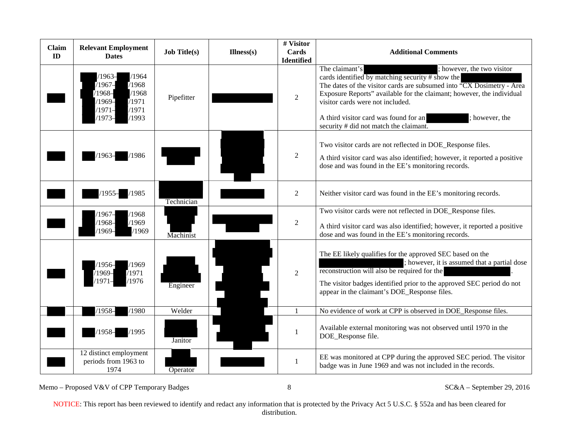| <b>Claim</b><br>ID | <b>Relevant Employment</b><br><b>Dates</b>                                                                               | <b>Job Title(s)</b> | $Illness(s)$ | # Visitor<br>Cards<br><b>Identified</b> | <b>Additional Comments</b>                                                                                                                                                                                                                                                                                                                                                                  |
|--------------------|--------------------------------------------------------------------------------------------------------------------------|---------------------|--------------|-----------------------------------------|---------------------------------------------------------------------------------------------------------------------------------------------------------------------------------------------------------------------------------------------------------------------------------------------------------------------------------------------------------------------------------------------|
|                    | /1964<br>$/1963-$<br>$1967 -$<br>/1968<br>/1968<br>$/1968-$<br>/1971<br>$/1969-$<br>/1971<br>$1971-$<br>/1993<br>$1973-$ | Pipefitter          |              | $\overline{2}$                          | The claimant's<br>; however, the two visitor<br>cards identified by matching security # show the<br>The dates of the visitor cards are subsumed into "CX Dosimetry - Area<br>Exposure Reports" available for the claimant; however, the individual<br>visitor cards were not included.<br>A third visitor card was found for an<br>; however, the<br>security # did not match the claimant. |
|                    | /1986<br>1963-                                                                                                           |                     |              | 2                                       | Two visitor cards are not reflected in DOE_Response files.<br>A third visitor card was also identified; however, it reported a positive<br>dose and was found in the EE's monitoring records.                                                                                                                                                                                               |
|                    | $/1955-$<br>/1985                                                                                                        | Technician          |              | $\overline{2}$                          | Neither visitor card was found in the EE's monitoring records.                                                                                                                                                                                                                                                                                                                              |
|                    | /1968<br>$1967-$<br>/1969<br>$1968 -$<br>/1969<br>$1969-$                                                                | Machinist           |              | $\overline{2}$                          | Two visitor cards were not reflected in DOE_Response files.<br>A third visitor card was also identified; however, it reported a positive<br>dose and was found in the EE's monitoring records.                                                                                                                                                                                              |
|                    | /1969<br>′1956–<br>/1971<br>$/1969-$<br>/1976<br>1971                                                                    | Engineer            |              | $\overline{2}$                          | The EE likely qualifies for the approved SEC based on the<br>; however, it is assumed that a partial dose<br>reconstruction will also be required for the<br>The visitor badges identified prior to the approved SEC period do not<br>appear in the claimant's DOE_Response files.                                                                                                          |
|                    | /1980<br>$1958 -$                                                                                                        | Welder              |              |                                         | No evidence of work at CPP is observed in DOE_Response files.                                                                                                                                                                                                                                                                                                                               |
|                    | /1995<br>$1958 -$                                                                                                        | Janitor             |              | 1                                       | Available external monitoring was not observed until 1970 in the<br>DOE_Response file.                                                                                                                                                                                                                                                                                                      |
|                    | 12 distinct employment<br>periods from 1963 to<br>1974                                                                   | Operator            |              | 1                                       | EE was monitored at CPP during the approved SEC period. The visitor<br>badge was in June 1969 and was not included in the records.                                                                                                                                                                                                                                                          |

Memo – Proposed V&V of CPP Temporary Badges 8 8 SC&A – September 29, 2016